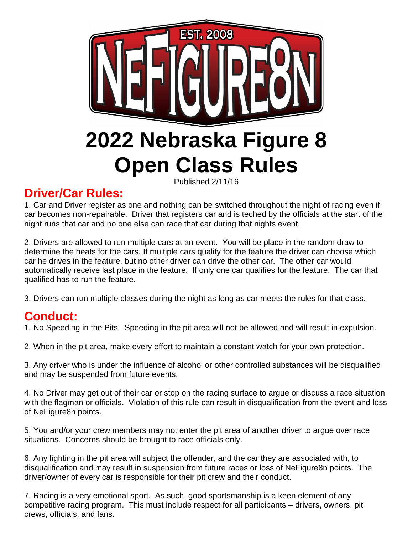

## **Driver/Car Rules:**

1. Car and Driver register as one and nothing can be switched throughout the night of racing even if car becomes non-repairable. Driver that registers car and is teched by the officials at the start of the night runs that car and no one else can race that car during that nights event.

2. Drivers are allowed to run multiple cars at an event. You will be place in the random draw to determine the heats for the cars. If multiple cars qualify for the feature the driver can choose which car he drives in the feature, but no other driver can drive the other car. The other car would automatically receive last place in the feature. If only one car qualifies for the feature. The car that qualified has to run the feature.

3. Drivers can run multiple classes during the night as long as car meets the rules for that class.

## **Conduct:**

1. No Speeding in the Pits. Speeding in the pit area will not be allowed and will result in expulsion.

2. When in the pit area, make every effort to maintain a constant watch for your own protection.

3. Any driver who is under the influence of alcohol or other controlled substances will be disqualified and may be suspended from future events.

4. No Driver may get out of their car or stop on the racing surface to argue or discuss a race situation with the flagman or officials. Violation of this rule can result in disqualification from the event and loss of NeFigure8n points.

5. You and/or your crew members may not enter the pit area of another driver to argue over race situations. Concerns should be brought to race officials only.

6. Any fighting in the pit area will subject the offender, and the car they are associated with, to disqualification and may result in suspension from future races or loss of NeFigure8n points. The driver/owner of every car is responsible for their pit crew and their conduct.

7. Racing is a very emotional sport. As such, good sportsmanship is a keen element of any competitive racing program. This must include respect for all participants – drivers, owners, pit crews, officials, and fans.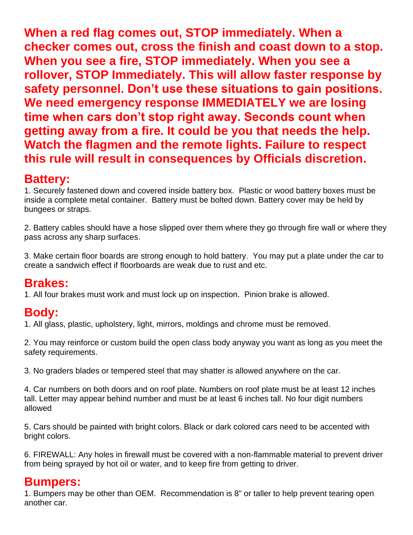**When a red flag comes out, STOP immediately. When a checker comes out, cross the finish and coast down to a stop. When you see a fire, STOP immediately. When you see a rollover, STOP Immediately. This will allow faster response by safety personnel. Don't use these situations to gain positions. We need emergency response IMMEDIATELY we are losing time when cars don't stop right away. Seconds count when getting away from a fire. It could be you that needs the help. Watch the flagmen and the remote lights. Failure to respect this rule will result in consequences by Officials discretion.**

### **Battery:**

1. Securely fastened down and covered inside battery box. Plastic or wood battery boxes must be inside a complete metal container. Battery must be bolted down. Battery cover may be held by bungees or straps.

2. Battery cables should have a hose slipped over them where they go through fire wall or where they pass across any sharp surfaces.

3. Make certain floor boards are strong enough to hold battery. You may put a plate under the car to create a sandwich effect if floorboards are weak due to rust and etc.

### **Brakes:**

1. All four brakes must work and must lock up on inspection. Pinion brake is allowed.

### **Body:**

1. All glass, plastic, upholstery, light, mirrors, moldings and chrome must be removed.

2. You may reinforce or custom build the open class body anyway you want as long as you meet the safety requirements.

3. No graders blades or tempered steel that may shatter is allowed anywhere on the car.

4. Car numbers on both doors and on roof plate. Numbers on roof plate must be at least 12 inches tall. Letter may appear behind number and must be at least 6 inches tall. No four digit numbers allowed

5. Cars should be painted with bright colors. Black or dark colored cars need to be accented with bright colors.

6. FIREWALL: Any holes in firewall must be covered with a non-flammable material to prevent driver from being sprayed by hot oil or water, and to keep fire from getting to driver.

### **Bumpers:**

1. Bumpers may be other than OEM. Recommendation is 8" or taller to help prevent tearing open another car.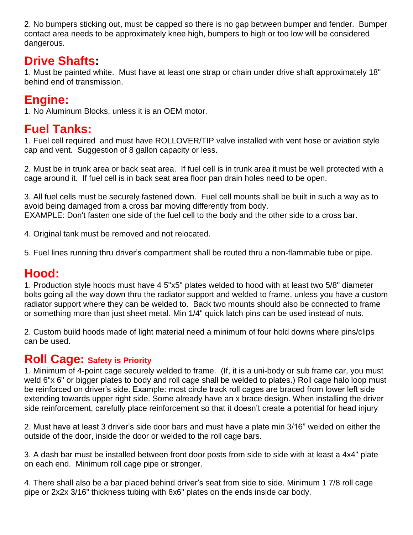2. No bumpers sticking out, must be capped so there is no gap between bumper and fender. Bumper contact area needs to be approximately knee high, bumpers to high or too low will be considered dangerous.

### **Drive Shafts:**

1. Must be painted white. Must have at least one strap or chain under drive shaft approximately 18" behind end of transmission.

## **Engine:**

1. No Aluminum Blocks, unless it is an OEM motor.

## **Fuel Tanks:**

1. Fuel cell required and must have ROLLOVER/TIP valve installed with vent hose or aviation style cap and vent. Suggestion of 8 gallon capacity or less.

2. Must be in trunk area or back seat area. If fuel cell is in trunk area it must be well protected with a cage around it. If fuel cell is in back seat area floor pan drain holes need to be open.

3. All fuel cells must be securely fastened down. Fuel cell mounts shall be built in such a way as to avoid being damaged from a cross bar moving differently from body. EXAMPLE: Don't fasten one side of the fuel cell to the body and the other side to a cross bar.

4. Original tank must be removed and not relocated.

5. Fuel lines running thru driver's compartment shall be routed thru a non-flammable tube or pipe.

## **Hood:**

1. Production style hoods must have 4 5"x5" plates welded to hood with at least two 5/8" diameter bolts going all the way down thru the radiator support and welded to frame, unless you have a custom radiator support where they can be welded to. Back two mounts should also be connected to frame or something more than just sheet metal. Min 1/4" quick latch pins can be used instead of nuts.

2. Custom build hoods made of light material need a minimum of four hold downs where pins/clips can be used.

#### **Roll Cage: Safety is Priority**

1. Minimum of 4-point cage securely welded to frame. (If, it is a uni-body or sub frame car, you must weld 6"x 6" or bigger plates to body and roll cage shall be welded to plates.) Roll cage halo loop must be reinforced on driver's side. Example: most circle track roll cages are braced from lower left side extending towards upper right side. Some already have an x brace design. When installing the driver side reinforcement, carefully place reinforcement so that it doesn't create a potential for head injury

2. Must have at least 3 driver's side door bars and must have a plate min 3/16" welded on either the outside of the door, inside the door or welded to the roll cage bars.

3. A dash bar must be installed between front door posts from side to side with at least a 4x4" plate on each end. Minimum roll cage pipe or stronger.

4. There shall also be a bar placed behind driver's seat from side to side. Minimum 1 7/8 roll cage pipe or 2x2x 3/16" thickness tubing with 6x6" plates on the ends inside car body.